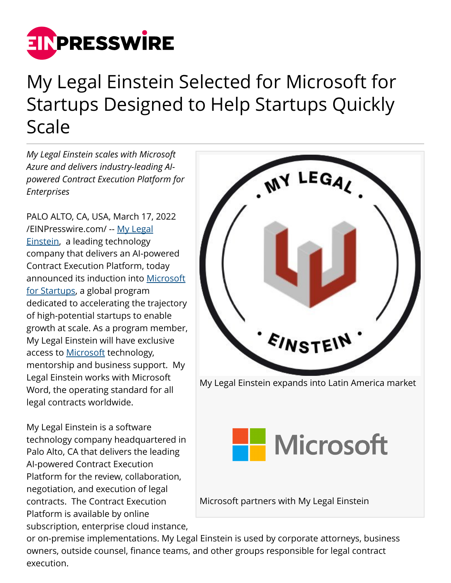

## My Legal Einstein Selected for Microsoft for Startups Designed to Help Startups Quickly Scale

*My Legal Einstein scales with Microsoft Azure and delivers industry-leading AIpowered Contract Execution Platform for Enterprises*

PALO ALTO, CA, USA, March 17, 2022 [/EINPresswire.com/](http://www.einpresswire.com) -- [My Legal](https://www.mylegaleinstein.com/) [Einstein](https://www.mylegaleinstein.com/), a leading technology company that delivers an AI-powered Contract Execution Platform, today announced its induction into [Microsoft](https://startups.microsoft.com/en-us/) [for Startups](https://startups.microsoft.com/en-us/), a global program dedicated to accelerating the trajectory of high-potential startups to enable growth at scale. As a program member, My Legal Einstein will have exclusive access to [Microsoft](https://www.microsoft.com/) technology, mentorship and business support. My Legal Einstein works with Microsoft Word, the operating standard for all legal contracts worldwide.

My Legal Einstein is a software technology company headquartered in Palo Alto, CA that delivers the leading AI-powered Contract Execution Platform for the review, collaboration, negotiation, and execution of legal contracts. The Contract Execution Platform is available by online subscription, enterprise cloud instance,



or on-premise implementations. My Legal Einstein is used by corporate attorneys, business owners, outside counsel, finance teams, and other groups responsible for legal contract execution.